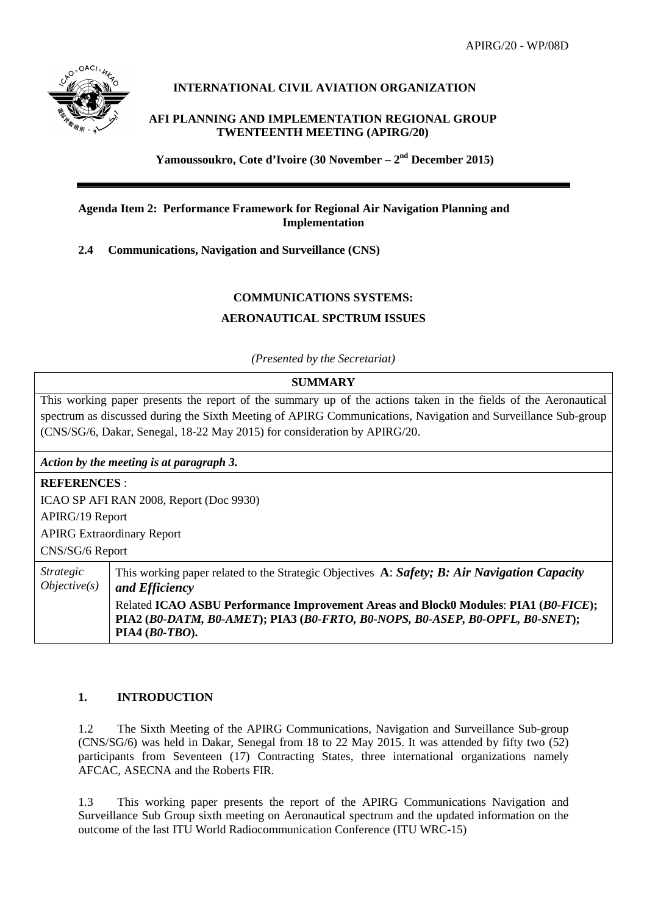APIRG/20 - WP/08D



## **INTERNATIONAL CIVIL AVIATION ORGANIZATION**

## **AFI PLANNING AND IMPLEMENTATION REGIONAL GROUP TWENTEENTH MEETING (APIRG/20)**

**Yamoussoukro, Cote d'Ivoire (30 November – 2nd December 2015)**

## **Agenda Item 2: Performance Framework for Regional Air Navigation Planning and Implementation**

**2.4 Communications, Navigation and Surveillance (CNS)**

## **COMMUNICATIONS SYSTEMS:**

## **AERONAUTICAL SPCTRUM ISSUES**

*(Presented by the Secretariat)*

## **SUMMARY**

This working paper presents the report of the summary up of the actions taken in the fields of the Aeronautical spectrum as discussed during the Sixth Meeting of APIRG Communications, Navigation and Surveillance Sub-group (CNS/SG/6, Dakar, Senegal, 18-22 May 2015) for consideration by APIRG/20.

*Action by the meeting is at paragraph 3.*

| <b>REFERENCES:</b>                      |                                                                                                                                                                                       |  |
|-----------------------------------------|---------------------------------------------------------------------------------------------------------------------------------------------------------------------------------------|--|
| ICAO SP AFI RAN 2008, Report (Doc 9930) |                                                                                                                                                                                       |  |
| <b>APIRG/19 Report</b>                  |                                                                                                                                                                                       |  |
| <b>APIRG Extraordinary Report</b>       |                                                                                                                                                                                       |  |
| CNS/SG/6 Report                         |                                                                                                                                                                                       |  |
| <i>Strategic</i><br>Objective(s)        | This working paper related to the Strategic Objectives A: Safety; B: Air Navigation Capacity<br>and <i>Efficiency</i>                                                                 |  |
|                                         | Related ICAO ASBU Performance Improvement Areas and Block0 Modules: PIA1 (B0-FICE);<br>PIA2 (B0-DATM, B0-AMET); PIA3 (B0-FRTO, B0-NOPS, B0-ASEP, B0-OPFL, B0-SNET);<br>PIA4 (B0-TBO). |  |

## **1. INTRODUCTION**

1.2 The Sixth Meeting of the APIRG Communications, Navigation and Surveillance Sub-group (CNS/SG/6) was held in Dakar, Senegal from 18 to 22 May 2015. It was attended by fifty two (52) participants from Seventeen (17) Contracting States, three international organizations namely AFCAC, ASECNA and the Roberts FIR.

1.3 This working paper presents the report of the APIRG Communications Navigation and Surveillance Sub Group sixth meeting on Aeronautical spectrum and the updated information on the outcome of the last ITU World Radiocommunication Conference (ITU WRC-15)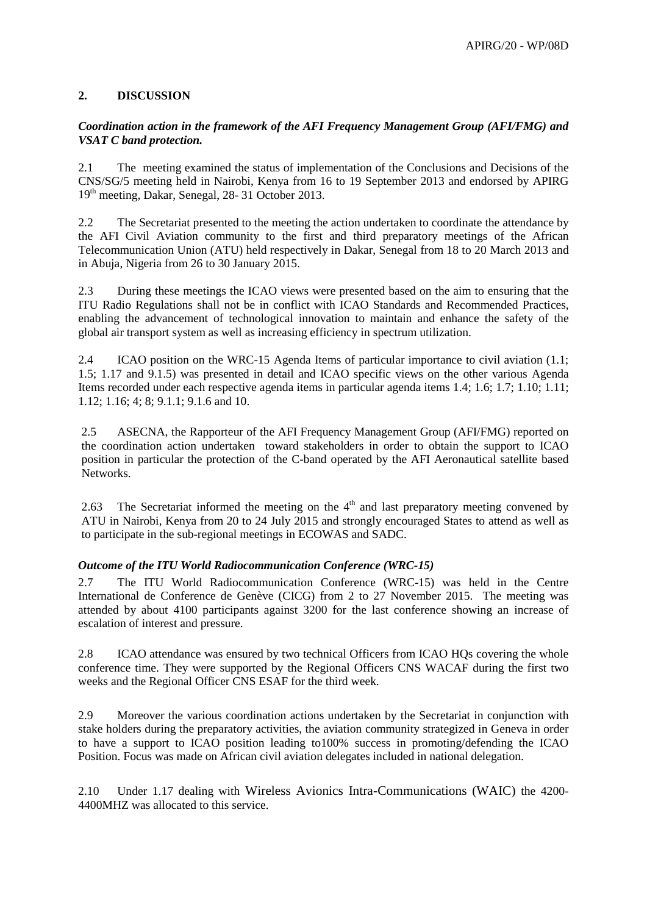## **2. DISCUSSION**

## *Coordination action in the framework of the AFI Frequency Management Group (AFI/FMG) and VSAT C band protection.*

2.1 The meeting examined the status of implementation of the Conclusions and Decisions of the CNS/SG/5 meeting held in Nairobi, Kenya from 16 to 19 September 2013 and endorsed by APIRG 19th meeting, Dakar, Senegal, 28- 31 October 2013.

2.2 The Secretariat presented to the meeting the action undertaken to coordinate the attendance by the AFI Civil Aviation community to the first and third preparatory meetings of the African Telecommunication Union (ATU) held respectively in Dakar, Senegal from 18 to 20 March 2013 and in Abuja, Nigeria from 26 to 30 January 2015.

2.3 During these meetings the ICAO views were presented based on the aim to ensuring that the ITU Radio Regulations shall not be in conflict with ICAO Standards and Recommended Practices, enabling the advancement of technological innovation to maintain and enhance the safety of the global air transport system as well as increasing efficiency in spectrum utilization.

2.4 ICAO position on the WRC-15 Agenda Items of particular importance to civil aviation (1.1; 1.5; 1.17 and 9.1.5) was presented in detail and ICAO specific views on the other various Agenda Items recorded under each respective agenda items in particular agenda items 1.4; 1.6; 1.7; 1.10; 1.11; 1.12; 1.16; 4; 8; 9.1.1; 9.1.6 and 10.

2.5 ASECNA, the Rapporteur of the AFI Frequency Management Group (AFI/FMG) reported on the coordination action undertaken toward stakeholders in order to obtain the support to ICAO position in particular the protection of the C-band operated by the AFI Aeronautical satellite based Networks.

2.63 The Secretariat informed the meeting on the  $4<sup>th</sup>$  and last preparatory meeting convened by ATU in Nairobi, Kenya from 20 to 24 July 2015 and strongly encouraged States to attend as well as to participate in the sub-regional meetings in ECOWAS and SADC.

## *Outcome of the ITU World Radiocommunication Conference (WRC-15)*

2.7 The ITU World Radiocommunication Conference (WRC-15) was held in the Centre International de Conference de Genève (CICG) from 2 to 27 November 2015. The meeting was attended by about 4100 participants against 3200 for the last conference showing an increase of escalation of interest and pressure.

2.8 ICAO attendance was ensured by two technical Officers from ICAO HQs covering the whole conference time. They were supported by the Regional Officers CNS WACAF during the first two weeks and the Regional Officer CNS ESAF for the third week.

2.9 Moreover the various coordination actions undertaken by the Secretariat in conjunction with stake holders during the preparatory activities, the aviation community strategized in Geneva in order to have a support to ICAO position leading to100% success in promoting/defending the ICAO Position. Focus was made on African civil aviation delegates included in national delegation.

2.10 Under 1.17 dealing with Wireless Avionics Intra-Communications (WAIC) the 4200- 4400MHZ was allocated to this service.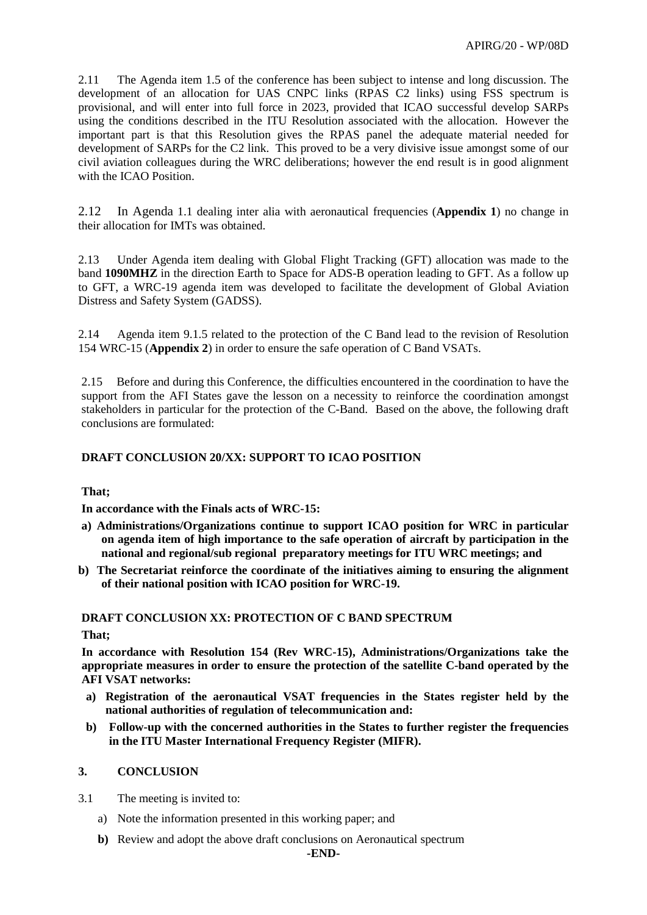2.11 The Agenda item 1.5 of the conference has been subject to intense and long discussion. The development of an allocation for UAS CNPC links (RPAS C2 links) using FSS spectrum is provisional, and will enter into full force in 2023, provided that ICAO successful develop SARPs using the conditions described in the ITU Resolution associated with the allocation. However the important part is that this Resolution gives the RPAS panel the adequate material needed for development of SARPs for the C2 link. This proved to be a very divisive issue amongst some of our civil aviation colleagues during the WRC deliberations; however the end result is in good alignment with the ICAO Position.

2.12 In Agenda 1.1 dealing inter alia with aeronautical frequencies (**Appendix 1**) no change in their allocation for IMTs was obtained.

2.13 Under Agenda item dealing with Global Flight Tracking (GFT) allocation was made to the band **1090MHZ** in the direction Earth to Space for ADS-B operation leading to GFT. As a follow up to GFT, a WRC-19 agenda item was developed to facilitate the development of Global Aviation Distress and Safety System (GADSS).

2.14 Agenda item 9.1.5 related to the protection of the C Band lead to the revision of Resolution 154 WRC-15 (**Appendix 2**) in order to ensure the safe operation of C Band VSATs.

2.15 Before and during this Conference, the difficulties encountered in the coordination to have the support from the AFI States gave the lesson on a necessity to reinforce the coordination amongst stakeholders in particular for the protection of the C-Band. Based on the above, the following draft conclusions are formulated:

## **DRAFT CONCLUSION 20/XX: SUPPORT TO ICAO POSITION**

## **That;**

**In accordance with the Finals acts of WRC-15:**

- **a) Administrations/Organizations continue to support ICAO position for WRC in particular on agenda item of high importance to the safe operation of aircraft by participation in the national and regional/sub regional preparatory meetings for ITU WRC meetings; and**
- **b) The Secretariat reinforce the coordinate of the initiatives aiming to ensuring the alignment of their national position with ICAO position for WRC-19.**

#### **DRAFT CONCLUSION XX: PROTECTION OF C BAND SPECTRUM**

**That;**

**In accordance with Resolution 154 (Rev WRC-15), Administrations/Organizations take the appropriate measures in order to ensure the protection of the satellite C-band operated by the AFI VSAT networks:**

- **a) Registration of the aeronautical VSAT frequencies in the States register held by the national authorities of regulation of telecommunication and:**
- **b) Follow-up with the concerned authorities in the States to further register the frequencies in the ITU Master International Frequency Register (MIFR).**

## **3. CONCLUSION**

3.1 The meeting is invited to:

- a) Note the information presented in this working paper; and
- **b)** Review and adopt the above draft conclusions on Aeronautical spectrum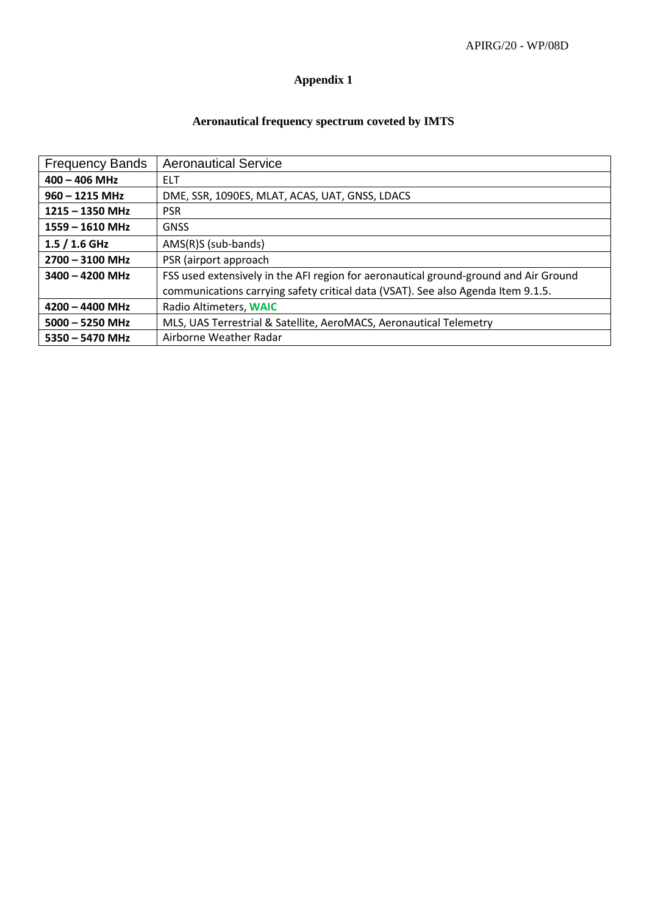# **Appendix 1**

## **Aeronautical frequency spectrum coveted by IMTS**

| <b>Frequency Bands</b> | <b>Aeronautical Service</b>                                                          |
|------------------------|--------------------------------------------------------------------------------------|
| $400 - 406$ MHz        | <b>ELT</b>                                                                           |
| $960 - 1215$ MHz       | DME, SSR, 1090ES, MLAT, ACAS, UAT, GNSS, LDACS                                       |
| $1215 - 1350$ MHz      | <b>PSR</b>                                                                           |
| $1559 - 1610$ MHz      | <b>GNSS</b>                                                                          |
| $1.5/1.6$ GHz          | $AMS(R)S$ (sub-bands)                                                                |
| $2700 - 3100$ MHz      | PSR (airport approach                                                                |
| $3400 - 4200$ MHz      | FSS used extensively in the AFI region for aeronautical ground-ground and Air Ground |
|                        | communications carrying safety critical data (VSAT). See also Agenda Item 9.1.5.     |
| $4200 - 4400$ MHz      | Radio Altimeters, WAIC                                                               |
| $5000 - 5250$ MHz      | MLS, UAS Terrestrial & Satellite, AeroMACS, Aeronautical Telemetry                   |
| $5350 - 5470$ MHz      | Airborne Weather Radar                                                               |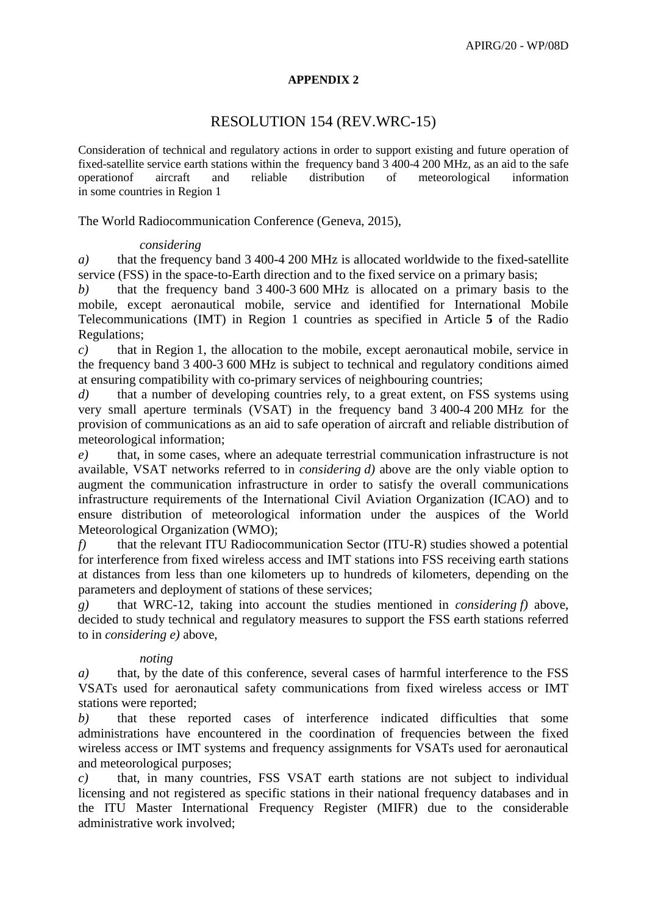## **APPENDIX 2**

## RESOLUTION 154 (REV.WRC-15)

Consideration of technical and regulatory actions in order to support existing and future operation of fixed-satellite service earth stations within the frequency band 3 400-4 200 MHz, as an aid to the safe operationof aircraft and reliable distribution of meteorological information in some countries in Region 1

The World Radiocommunication Conference (Geneva, 2015),

## *considering*

*a)* that the frequency band 3 400-4 200 MHz is allocated worldwide to the fixed-satellite service (FSS) in the space-to-Earth direction and to the fixed service on a primary basis;

*b)* that the frequency band 3 400-3 600 MHz is allocated on a primary basis to the mobile, except aeronautical mobile, service and identified for International Mobile Telecommunications (IMT) in Region 1 countries as specified in Article **5** of the Radio Regulations;

*c)* that in Region 1, the allocation to the mobile, except aeronautical mobile, service in the frequency band 3 400-3 600 MHz is subject to technical and regulatory conditions aimed at ensuring compatibility with co-primary services of neighbouring countries;

*d*) that a number of developing countries rely, to a great extent, on FSS systems using very small aperture terminals (VSAT) in the frequency band 3 400-4 200 MHz for the provision of communications as an aid to safe operation of aircraft and reliable distribution of meteorological information;

*e)* that, in some cases, where an adequate terrestrial communication infrastructure is not available, VSAT networks referred to in *considering d)* above are the only viable option to augment the communication infrastructure in order to satisfy the overall communications infrastructure requirements of the International Civil Aviation Organization (ICAO) and to ensure distribution of meteorological information under the auspices of the World Meteorological Organization (WMO);

*f)* that the relevant ITU Radiocommunication Sector (ITU-R) studies showed a potential for interference from fixed wireless access and IMT stations into FSS receiving earth stations at distances from less than one kilometers up to hundreds of kilometers, depending on the parameters and deployment of stations of these services;

*g)* that WRC-12, taking into account the studies mentioned in *considering f)* above, decided to study technical and regulatory measures to support the FSS earth stations referred to in *considering e)* above,

## *noting*

*a)* that, by the date of this conference, several cases of harmful interference to the FSS VSATs used for aeronautical safety communications from fixed wireless access or IMT stations were reported;

*b)* that these reported cases of interference indicated difficulties that some administrations have encountered in the coordination of frequencies between the fixed wireless access or IMT systems and frequency assignments for VSATs used for aeronautical and meteorological purposes;

*c)* that, in many countries, FSS VSAT earth stations are not subject to individual licensing and not registered as specific stations in their national frequency databases and in the ITU Master International Frequency Register (MIFR) due to the considerable administrative work involved;